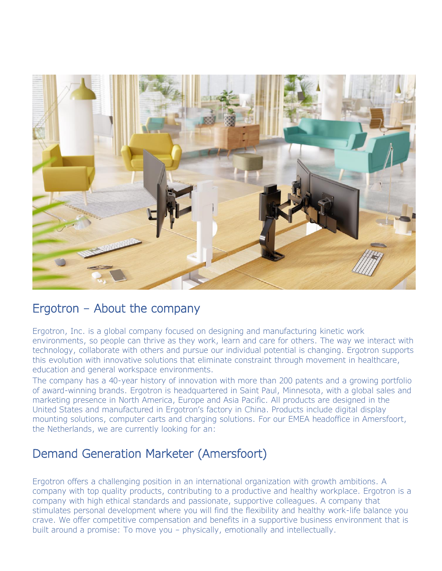

### Ergotron – About the company

Ergotron, Inc. is a global company focused on designing and manufacturing kinetic work environments, so people can thrive as they work, learn and care for others. The way we interact with technology, collaborate with others and pursue our individual potential is changing. Ergotron supports this evolution with innovative solutions that eliminate constraint through movement in healthcare, education and general workspace environments.

The company has a 40-year history of innovation with more than 200 patents and a growing portfolio of award-winning brands. Ergotron is headquartered in Saint Paul, Minnesota, with a global sales and marketing presence in North America, Europe and Asia Pacific. All products are designed in the United States and manufactured in Ergotron's factory in China. Products include digital display mounting solutions, computer carts and charging solutions. For our EMEA headoffice in Amersfoort, the Netherlands, we are currently looking for an:

# Demand Generation Marketer (Amersfoort)

Ergotron offers a challenging position in an international organization with growth ambitions. A company with top quality products, contributing to a productive and healthy workplace. Ergotron is a company with high ethical standards and passionate, supportive colleagues. A company that stimulates personal development where you will find the flexibility and healthy work-life balance you crave. We offer competitive compensation and benefits in a supportive business environment that is built around a promise: To move you – physically, emotionally and intellectually.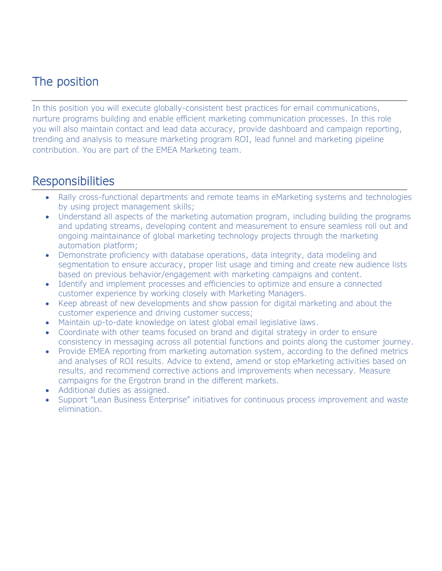# The position

In this position you will execute globally-consistent best practices for email communications, nurture programs building and enable efficient marketing communication processes. In this role you will also maintain contact and lead data accuracy, provide dashboard and campaign reporting, trending and analysis to measure marketing program ROI, lead funnel and marketing pipeline contribution. You are part of the EMEA Marketing team.

## **Responsibilities**

- Rally cross-functional departments and remote teams in eMarketing systems and technologies by using project management skills;
- Understand all aspects of the marketing automation program, including building the programs and updating streams, developing content and measurement to ensure seamless roll out and ongoing maintainance of global marketing technology projects through the marketing automation platform;
- Demonstrate proficiency with database operations, data integrity, data modeling and segmentation to ensure accuracy, proper list usage and timing and create new audience lists based on previous behavior/engagement with marketing campaigns and content.
- Identify and implement processes and efficiencies to optimize and ensure a connected customer experience by working closely with Marketing Managers.
- Keep abreast of new developments and show passion for digital marketing and about the customer experience and driving customer success;
- Maintain up-to-date knowledge on latest global email legislative laws.
- Coordinate with other teams focused on brand and digital strategy in order to ensure consistency in messaging across all potential functions and points along the customer journey.
- Provide EMEA reporting from marketing automation system, according to the defined metrics and analyses of ROI results. Advice to extend, amend or stop eMarketing activities based on results, and recommend corrective actions and improvements when necessary. Measure campaigns for the Ergotron brand in the different markets.
- Additional duties as assigned.
- Support "Lean Business Enterprise" initiatives for continuous process improvement and waste elimination.